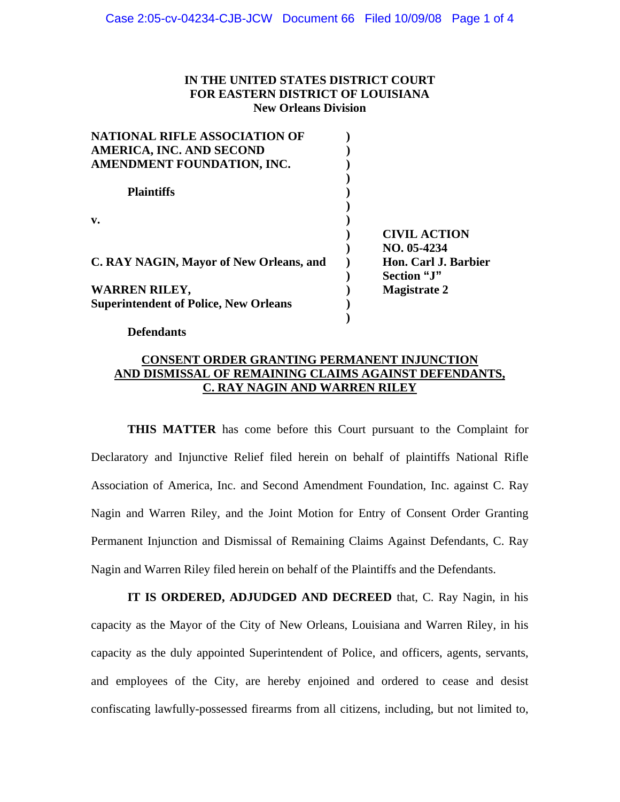## **IN THE UNITED STATES DISTRICT COURT FOR EASTERN DISTRICT OF LOUISIANA New Orleans Division**

| <b>NATIONAL RIFLE ASSOCIATION OF</b>         |             |                      |
|----------------------------------------------|-------------|----------------------|
| AMERICA, INC. AND SECOND                     |             |                      |
| AMENDMENT FOUNDATION, INC.                   |             |                      |
|                                              |             |                      |
| <b>Plaintiffs</b>                            |             |                      |
|                                              |             |                      |
| $\mathbf{v}$ .                               |             |                      |
|                                              |             | <b>CIVIL ACTION</b>  |
|                                              |             | $NO. 05-4234$        |
| C. RAY NAGIN, Mayor of New Orleans, and      |             | Hon. Carl J. Barbier |
|                                              | Section "J" |                      |
| <b>WARREN RILEY,</b>                         |             | <b>Magistrate 2</b>  |
| <b>Superintendent of Police, New Orleans</b> |             |                      |
|                                              |             |                      |

 **Defendants** 

# **CONSENT ORDER GRANTING PERMANENT INJUNCTION AND DISMISSAL OF REMAINING CLAIMS AGAINST DEFENDANTS, C. RAY NAGIN AND WARREN RILEY**

 **THIS MATTER** has come before this Court pursuant to the Complaint for Declaratory and Injunctive Relief filed herein on behalf of plaintiffs National Rifle Association of America, Inc. and Second Amendment Foundation, Inc. against C. Ray Nagin and Warren Riley, and the Joint Motion for Entry of Consent Order Granting Permanent Injunction and Dismissal of Remaining Claims Against Defendants, C. Ray Nagin and Warren Riley filed herein on behalf of the Plaintiffs and the Defendants.

 **IT IS ORDERED, ADJUDGED AND DECREED** that, C. Ray Nagin, in his capacity as the Mayor of the City of New Orleans, Louisiana and Warren Riley, in his capacity as the duly appointed Superintendent of Police, and officers, agents, servants, and employees of the City, are hereby enjoined and ordered to cease and desist confiscating lawfully-possessed firearms from all citizens, including, but not limited to,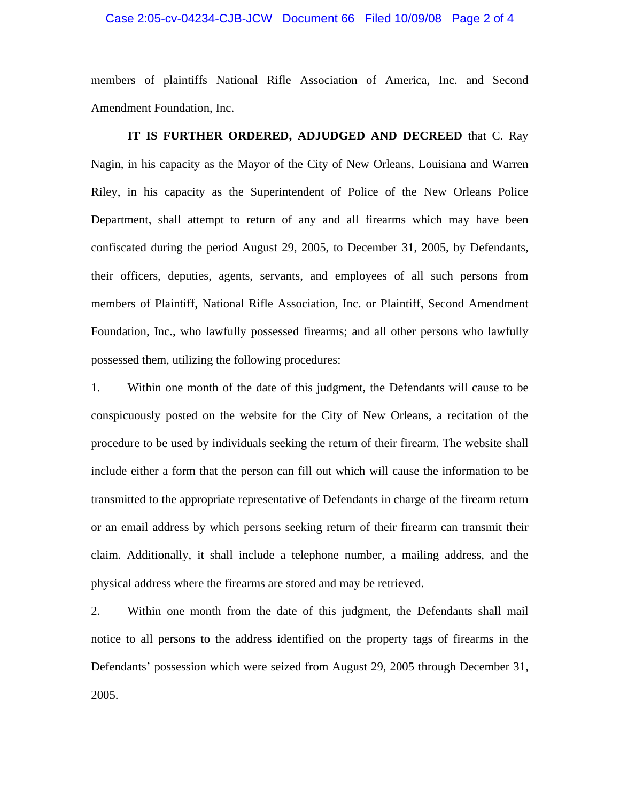### Case 2:05-cv-04234-CJB-JCW Document 66 Filed 10/09/08 Page 2 of 4

members of plaintiffs National Rifle Association of America, Inc. and Second Amendment Foundation, Inc.

 **IT IS FURTHER ORDERED, ADJUDGED AND DECREED** that C. Ray Nagin, in his capacity as the Mayor of the City of New Orleans, Louisiana and Warren Riley, in his capacity as the Superintendent of Police of the New Orleans Police Department, shall attempt to return of any and all firearms which may have been confiscated during the period August 29, 2005, to December 31, 2005, by Defendants, their officers, deputies, agents, servants, and employees of all such persons from members of Plaintiff, National Rifle Association, Inc. or Plaintiff, Second Amendment Foundation, Inc., who lawfully possessed firearms; and all other persons who lawfully possessed them, utilizing the following procedures:

1. Within one month of the date of this judgment, the Defendants will cause to be conspicuously posted on the website for the City of New Orleans, a recitation of the procedure to be used by individuals seeking the return of their firearm. The website shall include either a form that the person can fill out which will cause the information to be transmitted to the appropriate representative of Defendants in charge of the firearm return or an email address by which persons seeking return of their firearm can transmit their claim. Additionally, it shall include a telephone number, a mailing address, and the physical address where the firearms are stored and may be retrieved.

2. Within one month from the date of this judgment, the Defendants shall mail notice to all persons to the address identified on the property tags of firearms in the Defendants' possession which were seized from August 29, 2005 through December 31, 2005.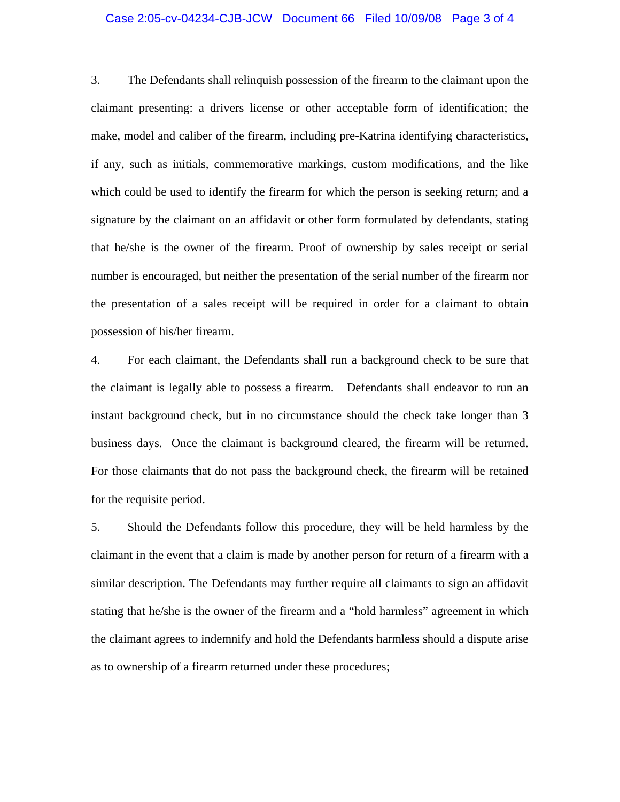### Case 2:05-cv-04234-CJB-JCW Document 66 Filed 10/09/08 Page 3 of 4

3. The Defendants shall relinquish possession of the firearm to the claimant upon the claimant presenting: a drivers license or other acceptable form of identification; the make, model and caliber of the firearm, including pre-Katrina identifying characteristics, if any, such as initials, commemorative markings, custom modifications, and the like which could be used to identify the firearm for which the person is seeking return; and a signature by the claimant on an affidavit or other form formulated by defendants, stating that he/she is the owner of the firearm. Proof of ownership by sales receipt or serial number is encouraged, but neither the presentation of the serial number of the firearm nor the presentation of a sales receipt will be required in order for a claimant to obtain possession of his/her firearm.

4. For each claimant, the Defendants shall run a background check to be sure that the claimant is legally able to possess a firearm. Defendants shall endeavor to run an instant background check, but in no circumstance should the check take longer than 3 business days. Once the claimant is background cleared, the firearm will be returned. For those claimants that do not pass the background check, the firearm will be retained for the requisite period.

5. Should the Defendants follow this procedure, they will be held harmless by the claimant in the event that a claim is made by another person for return of a firearm with a similar description. The Defendants may further require all claimants to sign an affidavit stating that he/she is the owner of the firearm and a "hold harmless" agreement in which the claimant agrees to indemnify and hold the Defendants harmless should a dispute arise as to ownership of a firearm returned under these procedures;